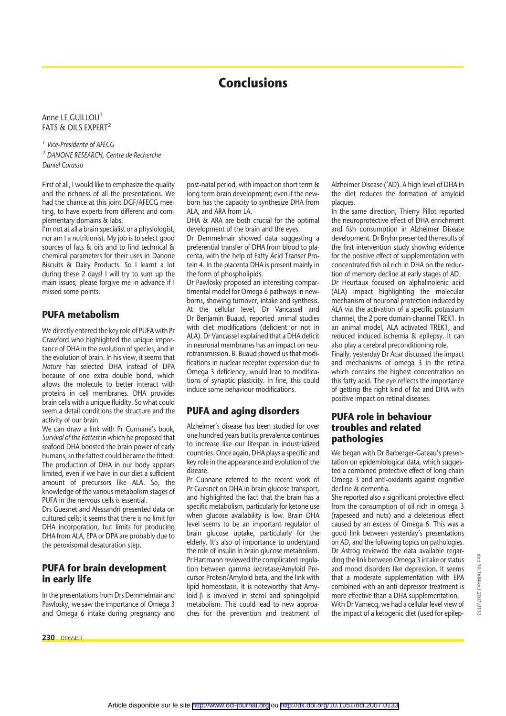# **Conclusions**

#### Anne LE GUILLOU<sup>1</sup> FATS & OILS EXPERT<sup>2</sup>

*<sup>1</sup> Vice-Presidente of AFECG <sup>2</sup> DANONE RESEARCH, Centre de Recherche Daniel Carasso*

First of all, I would like to emphasize the quality and the richness of all the presentations. We had the chance at this joint DGF/AFECG meeting, to have experts from different and complementary domains & labs.

I'm not at all a brain specialist or a physiologist, nor am I a nutritionist. My job is to select good sources of fats & oils and to find technical & chemical parameters for their uses in Danone Biscuits & Dairy Products. So I learnt a lot during these 2 days! I will try to sum up the main issues; please forgive me in advance if I missed some points.

#### **PUFA metabolism**

We directly entered the key role of PUFA with Pr Crawford who highlighted the unique importance of DHA in the evolution of species, and in the evolution of brain. In his view, it seems that *Nature* has selected DHA instead of DPA because of one extra double bond, which allows the molecule to better interact with proteins in cell membranes. DHA provides brain cells with a unique fluidity. So what could seem a detail conditions the structure and the activity of our brain.

We can draw a link with Pr Cunnane's book, *Survival of the Fattest* in which he proposed that seafood DHA boosted the brain power of early humans, so the fattest could became the fittest. The production of DHA in our body appears limited, even if we have in our diet a sufficient amount of precursors like ALA. So, the knowledge of the various metabolism stages of PUFA in the nervous cells is essential.

Drs Guesnet and Alessandri presented data on cultured cells; it seems that there is no limit for DHA incorporation, but limits for producing DHA from ALA, EPA or DPA are probably due to the peroxisomal desaturation step.

#### **PUFA for brain development in early life**

In the presentations from Drs Demmelmair and Pawlosky, we saw the importance of Omega 3 and Omega 6 intake during pregnancy and

**230** DOSSIER

post-natal period, with impact on short term & long term brain development; even if the newborn has the capacity to synthesize DHA from ALA, and ARA from LA.

DHA & ARA are both crucial for the optimal development of the brain and the eyes.

Dr Demmelmair showed data suggesting a preferential transfer of DHA from blood to placenta, with the help of Fatty Acid Transer Protein 4. In the placenta DHA is present mainly in the form of phospholipids.

Dr Pawlosky proposed an interesting compartimental model for Omega 6 pathways in newborns, showing turnover, intake and synthesis. At the cellular level, Dr Vancassel and Dr Benjamin Buaud, reported animal studies with diet modifications (deficient or not in ALA). Dr Vancassel explained that a DHA deficit in neuronal membranes has an impact on neurotransmission. B. Buaud showed us that modifications in nuclear receptor expression due to Omega 3 deficiency, would lead to modifications of synaptic plasticity. In fine, this could induce some behaviour modifications.

### **PUFA and aging disorders**

Alzheimer's disease has been studied for over one hundred years but its prevalence continues to increase like our lifespan in industrialized countries. Once again, DHA plays a specific and key role in the appearance and evolution of the disease.

Pr Cunnane referred to the recent work of Pr Guesnet on DHA in brain glucose transport, and highlighted the fact that the brain has a specific metabolism, particularly for ketone use when glucose availability is low. Brain DHA level seems to be an important regulator of brain glucose uptake, particularly for the elderly. It's also of importance to understand the role of insulin in brain glucose metabolism. Pr Hartmann reviewed the complicated regulation between gamma secretase/Amyloid Precursor Protein/Amyloid beta, and the link with lipid homeostasis. It is noteworthy that Amyloid  $\beta$  is involved in sterol and sphingolipid metabolism. This could lead to new approaches for the prevention and treatment of Alzheimer Disease ('AD). A high level of DHA in the diet reduces the formation of amyloid plaques.

In the same direction, Thierry Pillot reported the neuroprotective effect of DHA enrichment and fish consumption in Alzheimer Disease development. Dr Bryhn presented the results of the first intervention study showing evidence for the positive effect of supplementation with concentrated fish oil rich in DHA on the reduction of memory decline at early stages of AD. Dr Heurtaux focused on alphalinolenic acid (ALA) impact highlighting the molecular mechanism of neuronal protection induced by ALA via the activation of a specific potassium channel, the 2 pore domain channel TREK1. In

an animal model, ALA activated TREK1, and reduced induced ischemia & epilepsy. It can also play a cerebral preconditioning role. Finally, yesterday Dr Acar discussed the impact and mechanisms of omega 3 in the retina

which contains the highest concentration on this fatty acid. The eye reflects the importance of getting the right kind of fat and DHA with positive impact on retinal diseases.

#### **PUFA role in behaviour troubles and related pathologies**

We began with Dr Barberger-Gateau's presentation on epidemiological data, which suggested a combined protective effect of long chain Omega 3 and anti-oxidants against cognitive decline & dementia.

She reported also a significant protective effect from the consumption of oil rich in omega 3 (rapeseed and nuts) and a deleterious effect caused by an excess of Omega 6. This was a good link between yesterday's presentations on AD, and the following topics on pathologies. Dr Astrog reviewed the data available regarding the link between Omega 3 intake or status and mood disorders like depression. It seems that a moderate supplementation with EPA combined with an anti depressor treatment is more effective than a DHA supplementation. With Dr Vamecq, we had a cellular level view of the impact of a ketogenic diet (used for epilep-